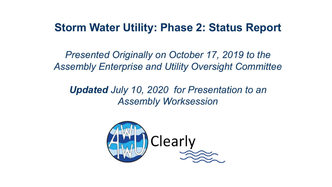#### **Storm Water Utility: Phase 2: Status Report**

*Presented Originally on October 17, 2019 to the Assembly Enterprise and Utility Oversight Committee*

*Updated July 10, 2020 for Presentation to an Assembly Worksession*

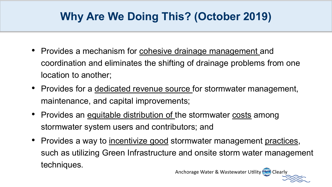## **Why Are We Doing This? (October 2019)**

- Provides a mechanism for cohesive drainage management and coordination and eliminates the shifting of drainage problems from one location to another;
- Provides for a dedicated revenue source for stormwater management, maintenance, and capital improvements;
- Provides an equitable distribution of the stormwater costs among stormwater system users and contributors; and
- Provides a way to incentivize good stormwater management practices, such as utilizing Green Infrastructure and onsite storm water management techniques.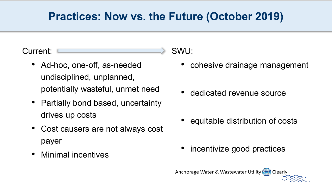#### **Practices: Now vs. the Future (October 2019)**

Current:

- Ad-hoc, one-off, as-needed undisciplined, unplanned, potentially wasteful, unmet need
- Partially bond based, uncertainty drives up costs
- Cost causers are not always cost payer
- Minimal incentives

SWU:

- cohesive drainage management
- dedicated revenue source
- equitable distribution of costs
- incentivize good practices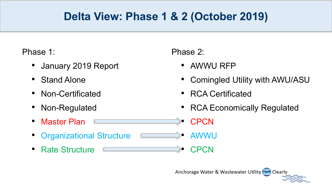### **Delta View: Phase 1 & 2 (October 2019)**

Phase 1:

- January 2019 Report
- Stand Alone
- Non-Certificated
- Non-Regulated
- Master Plan
- Organizational Structure
- Rate Structure

Phase 2:

- AWWU RFP
- Comingled Utility with AWU/ASU
- RCA Certificated
- RCA Economically Regulated

• CPCN

• AWWU

• CPCN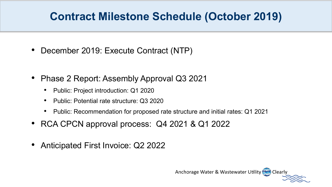#### **Contract Milestone Schedule (October 2019)**

- December 2019: Execute Contract (NTP)
- Phase 2 Report: Assembly Approval Q3 2021
	- Public: Project introduction: Q1 2020
	- Public: Potential rate structure: Q3 2020
	- Public: Recommendation for proposed rate structure and initial rates: Q1 2021
- RCA CPCN approval process: Q4 2021 & Q1 2022
- Anticipated First Invoice: Q2 2022

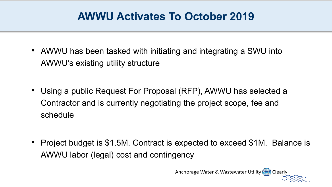#### **AWWU Activates To October 2019**

- AWWU has been tasked with initiating and integrating a SWU into AWWU's existing utility structure
- Using a public Request For Proposal (RFP), AWWU has selected a Contractor and is currently negotiating the project scope, fee and schedule

• Project budget is \$1.5M. Contract is expected to exceed \$1M. Balance is AWWU labor (legal) cost and contingency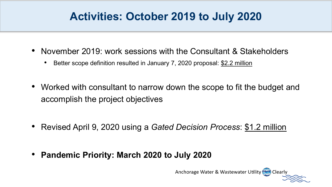#### **Activities: October 2019 to July 2020**

- November 2019: work sessions with the Consultant & Stakeholders
	- Better scope definition resulted in January 7, 2020 proposal: \$2.2 million
- Worked with consultant to narrow down the scope to fit the budget and accomplish the project objectives
- Revised April 9, 2020 using a *Gated Decision Process*: \$1.2 million
- **Pandemic Priority: March 2020 to July 2020**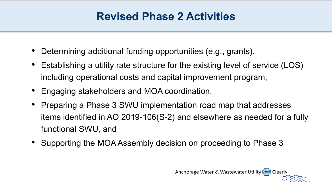#### **Revised Phase 2 Activities**

- Determining additional funding opportunities (e.g., grants),
- Establishing a utility rate structure for the existing level of service (LOS) including operational costs and capital improvement program,
- Engaging stakeholders and MOA coordination,
- Preparing a Phase 3 SWU implementation road map that addresses items identified in AO 2019-106(S-2) and elsewhere as needed for a fully functional SWU, and
- Supporting the MOA Assembly decision on proceeding to Phase 3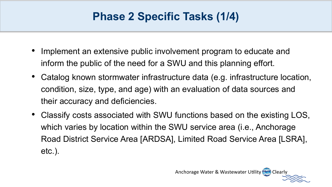#### **Phase 2 Specific Tasks (1/4)**

- Implement an extensive public involvement program to educate and inform the public of the need for a SWU and this planning effort.
- Catalog known stormwater infrastructure data (e.g. infrastructure location, condition, size, type, and age) with an evaluation of data sources and their accuracy and deficiencies.
- Classify costs associated with SWU functions based on the existing LOS, which varies by location within the SWU service area (i.e., Anchorage Road District Service Area [ARDSA], Limited Road Service Area [LSRA], etc.).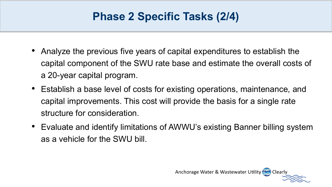#### **Phase 2 Specific Tasks (2/4)**

- Analyze the previous five years of capital expenditures to establish the capital component of the SWU rate base and estimate the overall costs of a 20-year capital program.
- Establish a base level of costs for existing operations, maintenance, and capital improvements. This cost will provide the basis for a single rate structure for consideration.
- Evaluate and identify limitations of AWWU's existing Banner billing system as a vehicle for the SWU bill.

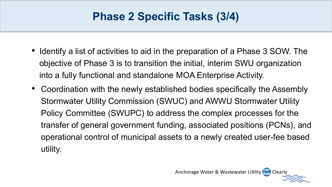#### **Phase 2 Specific Tasks (3/4)**

- Identify a list of activities to aid in the preparation of a Phase 3 SOW. The objective of Phase 3 is to transition the initial, interim SWU organization into a fully functional and standalone MOA Enterprise Activity.
- Coordination with the newly established bodies specifically the Assembly Stormwater Utility Commission (SWUC) and AWWU Stormwater Utility Policy Committee (SWUPC) to address the complex processes for the transfer of general government funding, associated positions (PCNs), and operational control of municipal assets to a newly created user-fee based utility.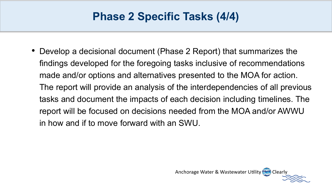#### **Phase 2 Specific Tasks (4/4)**

• Develop a decisional document (Phase 2 Report) that summarizes the findings developed for the foregoing tasks inclusive of recommendations made and/or options and alternatives presented to the MOA for action. The report will provide an analysis of the interdependencies of all previous tasks and document the impacts of each decision including timelines. The report will be focused on decisions needed from the MOA and/or AWWU in how and if to move forward with an SWU.

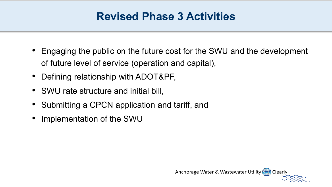#### **Revised Phase 3 Activities**

- Engaging the public on the future cost for the SWU and the development of future level of service (operation and capital),
- Defining relationship with ADOT&PF,
- SWU rate structure and initial bill,
- Submitting a CPCN application and tariff, and
- Implementation of the SWU

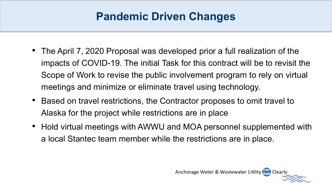### **Pandemic Driven Changes**

- The April 7, 2020 Proposal was developed prior a full realization of the impacts of COVID-19. The initial Task for this contract will be to revisit the Scope of Work to revise the public involvement program to rely on virtual meetings and minimize or eliminate travel using technology.
- Based on travel restrictions, the Contractor proposes to omit travel to Alaska for the project while restrictions are in place
- Hold virtual meetings with AWWU and MOA personnel supplemented with a local Stantec team member while the restrictions are in place.